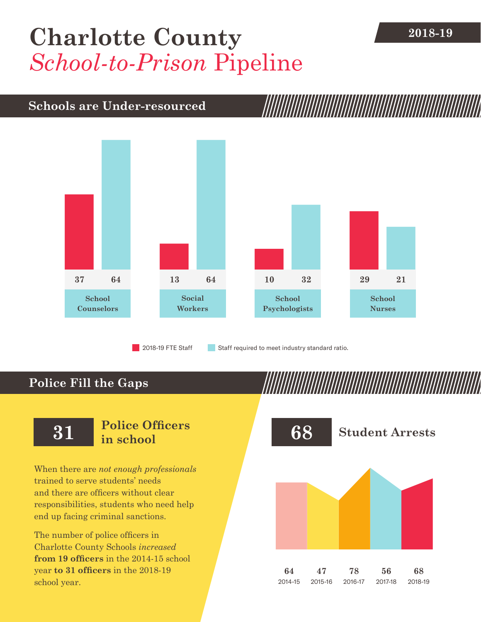## [Charlotte County](DBF_County) 2018-19 *School-to-Prison* Pipeline

## **Schools are Under-resourced**



2018-19 FTE Staff **Staff required to meet industry standard ratio.** 

## **Police Fill the Gaps**

When there are *not enough professionals* trained to serve students' needs and there are officers without clear responsibilities, students who need help end up facing criminal sanctions.

The number of police officers in [Charlotte County](DBF_County) Schools *increased* **from [19](DBF_PO1415) officers** in the 2014-15 school year **to [31](DBF_PO) officers** in the 2018-19 school year.